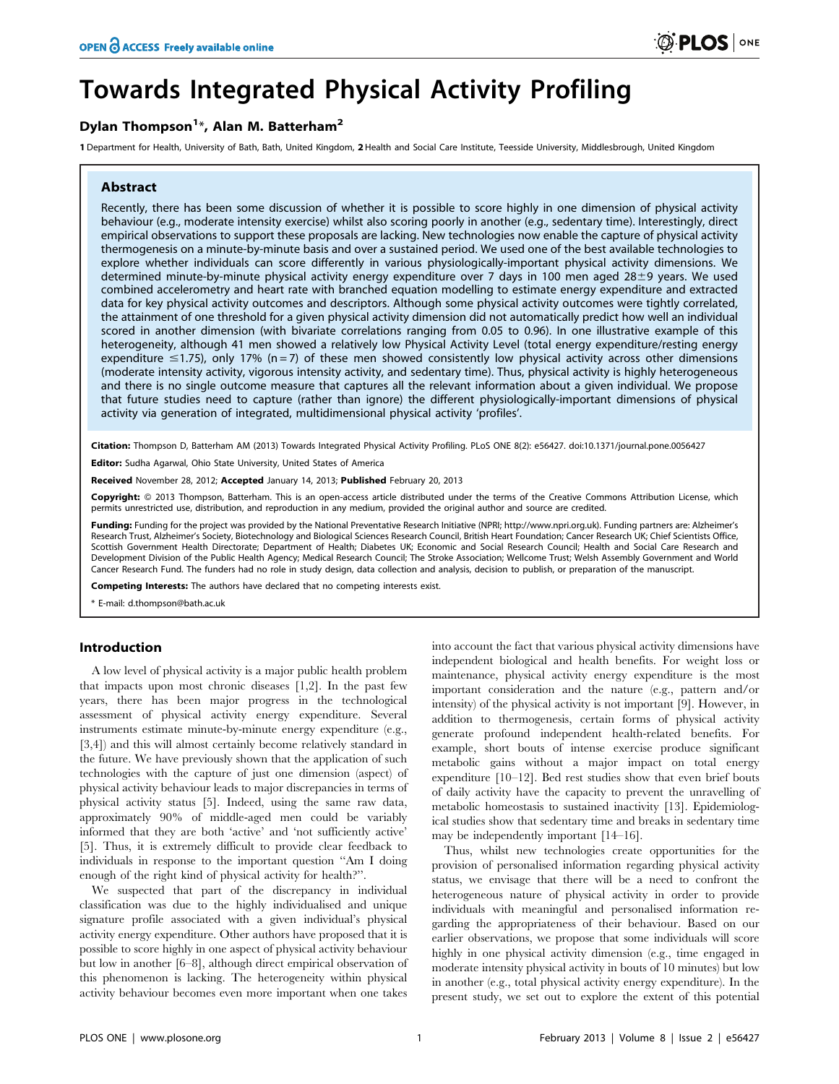# Towards Integrated Physical Activity Profiling

# Dylan Thompson<sup>1\*</sup>, Alan M. Batterham<sup>2</sup>

1 Department for Health, University of Bath, Bath, United Kingdom, 2 Health and Social Care Institute, Teesside University, Middlesbrough, United Kingdom

#### Abstract

Recently, there has been some discussion of whether it is possible to score highly in one dimension of physical activity behaviour (e.g., moderate intensity exercise) whilst also scoring poorly in another (e.g., sedentary time). Interestingly, direct empirical observations to support these proposals are lacking. New technologies now enable the capture of physical activity thermogenesis on a minute-by-minute basis and over a sustained period. We used one of the best available technologies to explore whether individuals can score differently in various physiologically-important physical activity dimensions. We determined minute-by-minute physical activity energy expenditure over 7 days in 100 men aged 28±9 years. We used combined accelerometry and heart rate with branched equation modelling to estimate energy expenditure and extracted data for key physical activity outcomes and descriptors. Although some physical activity outcomes were tightly correlated, the attainment of one threshold for a given physical activity dimension did not automatically predict how well an individual scored in another dimension (with bivariate correlations ranging from 0.05 to 0.96). In one illustrative example of this heterogeneity, although 41 men showed a relatively low Physical Activity Level (total energy expenditure/resting energy expenditure  $\leq$ 1.75), only 17% (n = 7) of these men showed consistently low physical activity across other dimensions (moderate intensity activity, vigorous intensity activity, and sedentary time). Thus, physical activity is highly heterogeneous and there is no single outcome measure that captures all the relevant information about a given individual. We propose that future studies need to capture (rather than ignore) the different physiologically-important dimensions of physical activity via generation of integrated, multidimensional physical activity 'profiles'.

Citation: Thompson D, Batterham AM (2013) Towards Integrated Physical Activity Profiling. PLoS ONE 8(2): e56427. doi:10.1371/journal.pone.0056427

Editor: Sudha Agarwal, Ohio State University, United States of America

Received November 28, 2012; Accepted January 14, 2013; Published February 20, 2013

Copyright: © 2013 Thompson, Batterham. This is an open-access article distributed under the terms of the Creative Commons Attribution License, which permits unrestricted use, distribution, and reproduction in any medium, provided the original author and source are credited.

Funding: Funding for the project was provided by the National Preventative Research Initiative (NPRI; http://www.npri.org.uk). Funding partners are: Alzheimer's Research Trust, Alzheimer's Society, Biotechnology and Biological Sciences Research Council, British Heart Foundation; Cancer Research UK; Chief Scientists Office, Scottish Government Health Directorate; Department of Health; Diabetes UK; Economic and Social Research Council; Health and Social Care Research and Development Division of the Public Health Agency; Medical Research Council; The Stroke Association; Wellcome Trust; Welsh Assembly Government and World Cancer Research Fund. The funders had no role in study design, data collection and analysis, decision to publish, or preparation of the manuscript.

**Competing Interests:** The authors have declared that no competing interests exist.

\* E-mail: d.thompson@bath.ac.uk

#### Introduction

A low level of physical activity is a major public health problem that impacts upon most chronic diseases [1,2]. In the past few years, there has been major progress in the technological assessment of physical activity energy expenditure. Several instruments estimate minute-by-minute energy expenditure (e.g., [3,4]) and this will almost certainly become relatively standard in the future. We have previously shown that the application of such technologies with the capture of just one dimension (aspect) of physical activity behaviour leads to major discrepancies in terms of physical activity status [5]. Indeed, using the same raw data, approximately 90% of middle-aged men could be variably informed that they are both 'active' and 'not sufficiently active' [5]. Thus, it is extremely difficult to provide clear feedback to individuals in response to the important question ''Am I doing enough of the right kind of physical activity for health?''.

We suspected that part of the discrepancy in individual classification was due to the highly individualised and unique signature profile associated with a given individual's physical activity energy expenditure. Other authors have proposed that it is possible to score highly in one aspect of physical activity behaviour but low in another [6–8], although direct empirical observation of this phenomenon is lacking. The heterogeneity within physical activity behaviour becomes even more important when one takes

into account the fact that various physical activity dimensions have independent biological and health benefits. For weight loss or maintenance, physical activity energy expenditure is the most important consideration and the nature (e.g., pattern and/or intensity) of the physical activity is not important [9]. However, in addition to thermogenesis, certain forms of physical activity generate profound independent health-related benefits. For example, short bouts of intense exercise produce significant metabolic gains without a major impact on total energy expenditure [10–12]. Bed rest studies show that even brief bouts of daily activity have the capacity to prevent the unravelling of metabolic homeostasis to sustained inactivity [13]. Epidemiological studies show that sedentary time and breaks in sedentary time may be independently important [14–16].

Thus, whilst new technologies create opportunities for the provision of personalised information regarding physical activity status, we envisage that there will be a need to confront the heterogeneous nature of physical activity in order to provide individuals with meaningful and personalised information regarding the appropriateness of their behaviour. Based on our earlier observations, we propose that some individuals will score highly in one physical activity dimension (e.g., time engaged in moderate intensity physical activity in bouts of 10 minutes) but low in another (e.g., total physical activity energy expenditure). In the present study, we set out to explore the extent of this potential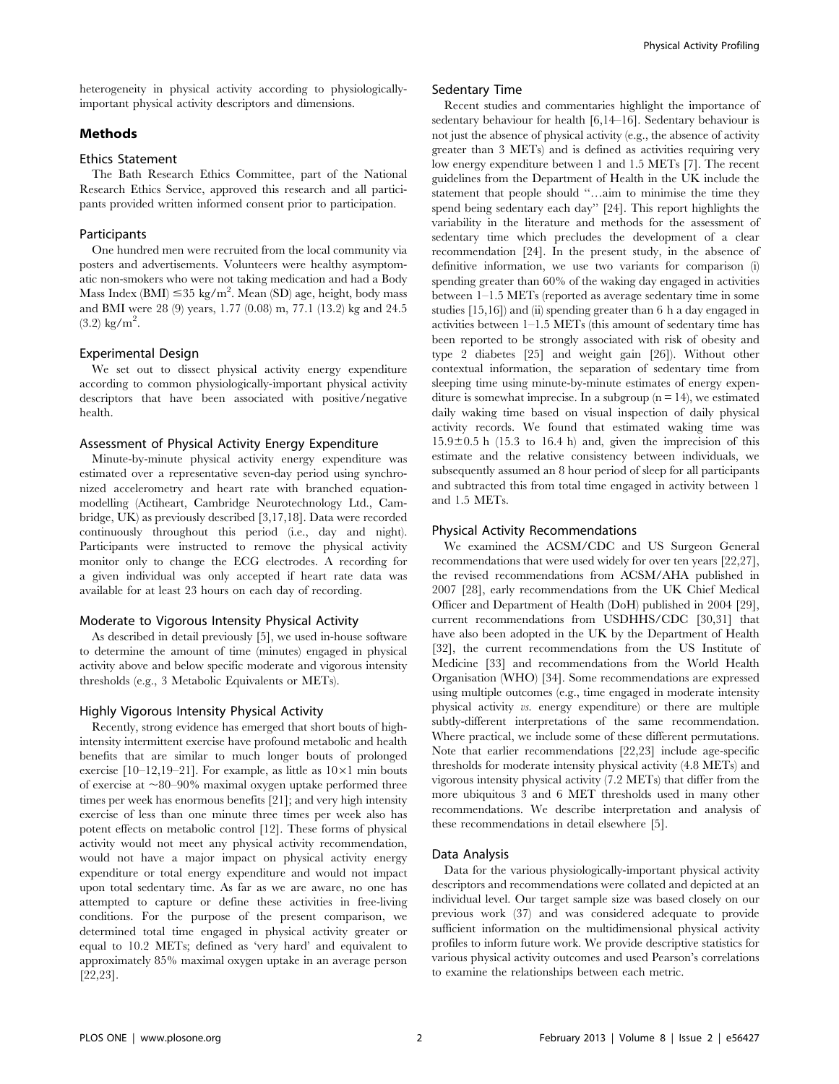heterogeneity in physical activity according to physiologicallyimportant physical activity descriptors and dimensions.

## **Methods**

#### Ethics Statement

The Bath Research Ethics Committee, part of the National Research Ethics Service, approved this research and all participants provided written informed consent prior to participation.

#### **Participants**

One hundred men were recruited from the local community via posters and advertisements. Volunteers were healthy asymptomatic non-smokers who were not taking medication and had a Body Mass Index (BMI)  $\leq$ 35 kg/m<sup>2</sup>. Mean (SD) age, height, body mass and BMI were 28 (9) years, 1.77 (0.08) m, 77.1 (13.2) kg and 24.5  $(3.2)$  kg/m<sup>2</sup>.

#### Experimental Design

We set out to dissect physical activity energy expenditure according to common physiologically-important physical activity descriptors that have been associated with positive/negative health.

#### Assessment of Physical Activity Energy Expenditure

Minute-by-minute physical activity energy expenditure was estimated over a representative seven-day period using synchronized accelerometry and heart rate with branched equationmodelling (Actiheart, Cambridge Neurotechnology Ltd., Cambridge, UK) as previously described [3,17,18]. Data were recorded continuously throughout this period (i.e., day and night). Participants were instructed to remove the physical activity monitor only to change the ECG electrodes. A recording for a given individual was only accepted if heart rate data was available for at least 23 hours on each day of recording.

#### Moderate to Vigorous Intensity Physical Activity

As described in detail previously [5], we used in-house software to determine the amount of time (minutes) engaged in physical activity above and below specific moderate and vigorous intensity thresholds (e.g., 3 Metabolic Equivalents or METs).

#### Highly Vigorous Intensity Physical Activity

Recently, strong evidence has emerged that short bouts of highintensity intermittent exercise have profound metabolic and health benefits that are similar to much longer bouts of prolonged exercise  $[10-12, 19-21]$ . For example, as little as  $10\times1$  min bouts of exercise at  $\sim$ 80–90% maximal oxygen uptake performed three times per week has enormous benefits [21]; and very high intensity exercise of less than one minute three times per week also has potent effects on metabolic control [12]. These forms of physical activity would not meet any physical activity recommendation, would not have a major impact on physical activity energy expenditure or total energy expenditure and would not impact upon total sedentary time. As far as we are aware, no one has attempted to capture or define these activities in free-living conditions. For the purpose of the present comparison, we determined total time engaged in physical activity greater or equal to 10.2 METs; defined as 'very hard' and equivalent to approximately 85% maximal oxygen uptake in an average person [22,23].

#### Sedentary Time

Recent studies and commentaries highlight the importance of sedentary behaviour for health [6,14–16]. Sedentary behaviour is not just the absence of physical activity (e.g., the absence of activity greater than 3 METs) and is defined as activities requiring very low energy expenditure between 1 and 1.5 METs [7]. The recent guidelines from the Department of Health in the UK include the statement that people should "...aim to minimise the time they spend being sedentary each day'' [24]. This report highlights the variability in the literature and methods for the assessment of sedentary time which precludes the development of a clear recommendation [24]. In the present study, in the absence of definitive information, we use two variants for comparison (i) spending greater than 60% of the waking day engaged in activities between 1–1.5 METs (reported as average sedentary time in some studies [15,16]) and (ii) spending greater than 6 h a day engaged in activities between 1–1.5 METs (this amount of sedentary time has been reported to be strongly associated with risk of obesity and type 2 diabetes [25] and weight gain [26]). Without other contextual information, the separation of sedentary time from sleeping time using minute-by-minute estimates of energy expenditure is somewhat imprecise. In a subgroup  $(n = 14)$ , we estimated daily waking time based on visual inspection of daily physical activity records. We found that estimated waking time was  $15.9\pm0.5$  h (15.3 to 16.4 h) and, given the imprecision of this estimate and the relative consistency between individuals, we subsequently assumed an 8 hour period of sleep for all participants and subtracted this from total time engaged in activity between 1 and 1.5 METs.

#### Physical Activity Recommendations

We examined the ACSM/CDC and US Surgeon General recommendations that were used widely for over ten years [22,27], the revised recommendations from ACSM/AHA published in 2007 [28], early recommendations from the UK Chief Medical Officer and Department of Health (DoH) published in 2004 [29], current recommendations from USDHHS/CDC [30,31] that have also been adopted in the UK by the Department of Health [32], the current recommendations from the US Institute of Medicine [33] and recommendations from the World Health Organisation (WHO) [34]. Some recommendations are expressed using multiple outcomes (e.g., time engaged in moderate intensity physical activity vs. energy expenditure) or there are multiple subtly-different interpretations of the same recommendation. Where practical, we include some of these different permutations. Note that earlier recommendations [22,23] include age-specific thresholds for moderate intensity physical activity (4.8 METs) and vigorous intensity physical activity (7.2 METs) that differ from the more ubiquitous 3 and 6 MET thresholds used in many other recommendations. We describe interpretation and analysis of these recommendations in detail elsewhere [5].

#### Data Analysis

Data for the various physiologically-important physical activity descriptors and recommendations were collated and depicted at an individual level. Our target sample size was based closely on our previous work (37) and was considered adequate to provide sufficient information on the multidimensional physical activity profiles to inform future work. We provide descriptive statistics for various physical activity outcomes and used Pearson's correlations to examine the relationships between each metric.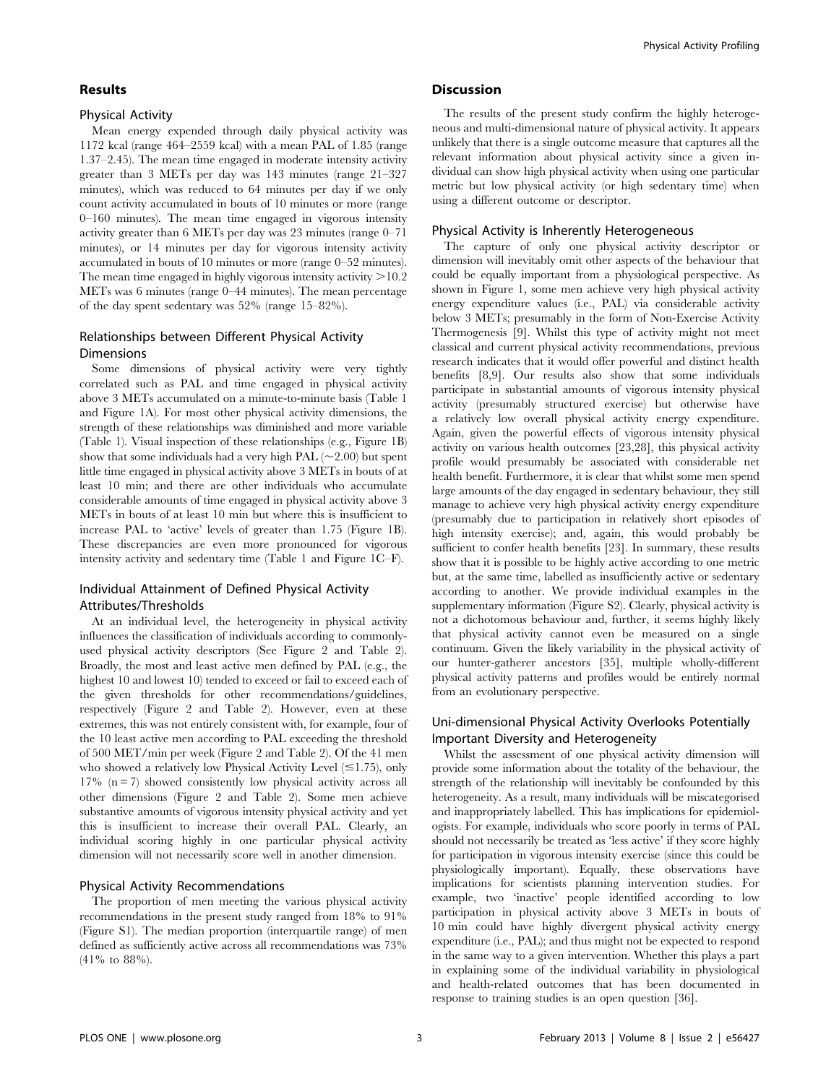#### Results

#### Physical Activity

Mean energy expended through daily physical activity was 1172 kcal (range 464–2559 kcal) with a mean PAL of 1.85 (range 1.37–2.45). The mean time engaged in moderate intensity activity greater than 3 METs per day was 143 minutes (range 21–327 minutes), which was reduced to 64 minutes per day if we only count activity accumulated in bouts of 10 minutes or more (range 0–160 minutes). The mean time engaged in vigorous intensity activity greater than 6 METs per day was 23 minutes (range 0–71 minutes), or 14 minutes per day for vigorous intensity activity accumulated in bouts of 10 minutes or more (range 0–52 minutes). The mean time engaged in highly vigorous intensity activity  $>10.2$ METs was 6 minutes (range 0–44 minutes). The mean percentage of the day spent sedentary was 52% (range 15–82%).

## Relationships between Different Physical Activity Dimensions

Some dimensions of physical activity were very tightly correlated such as PAL and time engaged in physical activity above 3 METs accumulated on a minute-to-minute basis (Table 1 and Figure 1A). For most other physical activity dimensions, the strength of these relationships was diminished and more variable (Table 1). Visual inspection of these relationships (e.g., Figure 1B) show that some individuals had a very high PAL  $(\sim 2.00)$  but spent little time engaged in physical activity above 3 METs in bouts of at least 10 min; and there are other individuals who accumulate considerable amounts of time engaged in physical activity above 3 METs in bouts of at least 10 min but where this is insufficient to increase PAL to 'active' levels of greater than 1.75 (Figure 1B). These discrepancies are even more pronounced for vigorous intensity activity and sedentary time (Table 1 and Figure 1C–F).

## Individual Attainment of Defined Physical Activity Attributes/Thresholds

At an individual level, the heterogeneity in physical activity influences the classification of individuals according to commonlyused physical activity descriptors (See Figure 2 and Table 2). Broadly, the most and least active men defined by PAL (e.g., the highest 10 and lowest 10) tended to exceed or fail to exceed each of the given thresholds for other recommendations/guidelines, respectively (Figure 2 and Table 2). However, even at these extremes, this was not entirely consistent with, for example, four of the 10 least active men according to PAL exceeding the threshold of 500 MET/min per week (Figure 2 and Table 2). Of the 41 men who showed a relatively low Physical Activity Level  $(\leq 1.75)$ , only  $17\%$  (n = 7) showed consistently low physical activity across all other dimensions (Figure 2 and Table 2). Some men achieve substantive amounts of vigorous intensity physical activity and yet this is insufficient to increase their overall PAL. Clearly, an individual scoring highly in one particular physical activity dimension will not necessarily score well in another dimension.

#### Physical Activity Recommendations

The proportion of men meeting the various physical activity recommendations in the present study ranged from 18% to 91% (Figure S1). The median proportion (interquartile range) of men defined as sufficiently active across all recommendations was 73% (41% to 88%).

#### **Discussion**

The results of the present study confirm the highly heterogeneous and multi-dimensional nature of physical activity. It appears unlikely that there is a single outcome measure that captures all the relevant information about physical activity since a given individual can show high physical activity when using one particular metric but low physical activity (or high sedentary time) when using a different outcome or descriptor.

#### Physical Activity is Inherently Heterogeneous

The capture of only one physical activity descriptor or dimension will inevitably omit other aspects of the behaviour that could be equally important from a physiological perspective. As shown in Figure 1, some men achieve very high physical activity energy expenditure values (i.e., PAL) via considerable activity below 3 METs; presumably in the form of Non-Exercise Activity Thermogenesis [9]. Whilst this type of activity might not meet classical and current physical activity recommendations, previous research indicates that it would offer powerful and distinct health benefits [8,9]. Our results also show that some individuals participate in substantial amounts of vigorous intensity physical activity (presumably structured exercise) but otherwise have a relatively low overall physical activity energy expenditure. Again, given the powerful effects of vigorous intensity physical activity on various health outcomes [23,28], this physical activity profile would presumably be associated with considerable net health benefit. Furthermore, it is clear that whilst some men spend large amounts of the day engaged in sedentary behaviour, they still manage to achieve very high physical activity energy expenditure (presumably due to participation in relatively short episodes of high intensity exercise); and, again, this would probably be sufficient to confer health benefits [23]. In summary, these results show that it is possible to be highly active according to one metric but, at the same time, labelled as insufficiently active or sedentary according to another. We provide individual examples in the supplementary information (Figure S2). Clearly, physical activity is not a dichotomous behaviour and, further, it seems highly likely that physical activity cannot even be measured on a single continuum. Given the likely variability in the physical activity of our hunter-gatherer ancestors [35], multiple wholly-different physical activity patterns and profiles would be entirely normal from an evolutionary perspective.

### Uni-dimensional Physical Activity Overlooks Potentially Important Diversity and Heterogeneity

Whilst the assessment of one physical activity dimension will provide some information about the totality of the behaviour, the strength of the relationship will inevitably be confounded by this heterogeneity. As a result, many individuals will be miscategorised and inappropriately labelled. This has implications for epidemiologists. For example, individuals who score poorly in terms of PAL should not necessarily be treated as 'less active' if they score highly for participation in vigorous intensity exercise (since this could be physiologically important). Equally, these observations have implications for scientists planning intervention studies. For example, two 'inactive' people identified according to low participation in physical activity above 3 METs in bouts of 10 min could have highly divergent physical activity energy expenditure (i.e., PAL); and thus might not be expected to respond in the same way to a given intervention. Whether this plays a part in explaining some of the individual variability in physiological and health-related outcomes that has been documented in response to training studies is an open question [36].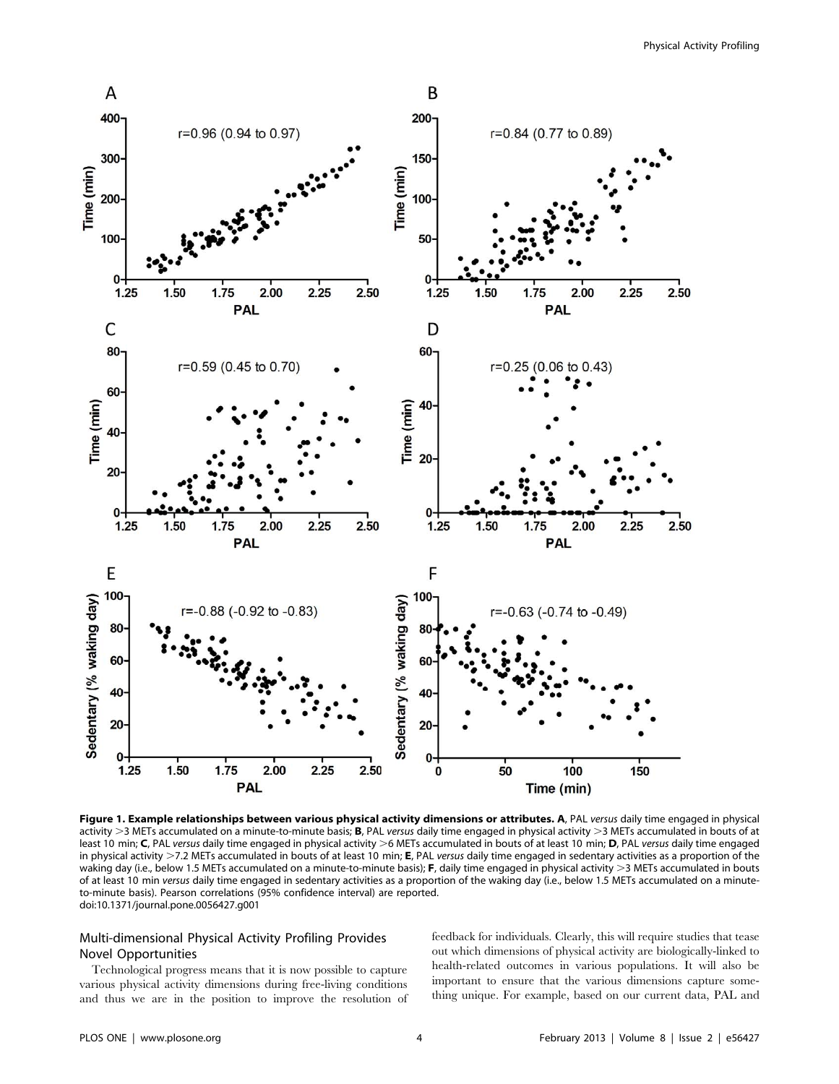

Figure 1. Example relationships between various physical activity dimensions or attributes. A, PAL versus daily time engaged in physical activity  $>$ 3 METs accumulated on a minute-to-minute basis; **B**, PAL versus daily time engaged in physical activity  $>$ 3 METs accumulated in bouts of at least 10 min; C, PAL versus daily time engaged in physical activity >6 METs accumulated in bouts of at least 10 min; D, PAL versus daily time engaged in physical activity  $>$ 7.2 METs accumulated in bouts of at least 10 min; E, PAL versus daily time engaged in sedentary activities as a proportion of the waking day (i.e., below 1.5 METs accumulated on a minute-to-minute basis); F, daily time engaged in physical activity >3 METs accumulated in bouts of at least 10 min versus daily time engaged in sedentary activities as a proportion of the waking day (i.e., below 1.5 METs accumulated on a minuteto-minute basis). Pearson correlations (95% confidence interval) are reported. doi:10.1371/journal.pone.0056427.g001

## Multi-dimensional Physical Activity Profiling Provides Novel Opportunities

Technological progress means that it is now possible to capture various physical activity dimensions during free-living conditions and thus we are in the position to improve the resolution of feedback for individuals. Clearly, this will require studies that tease out which dimensions of physical activity are biologically-linked to health-related outcomes in various populations. It will also be important to ensure that the various dimensions capture something unique. For example, based on our current data, PAL and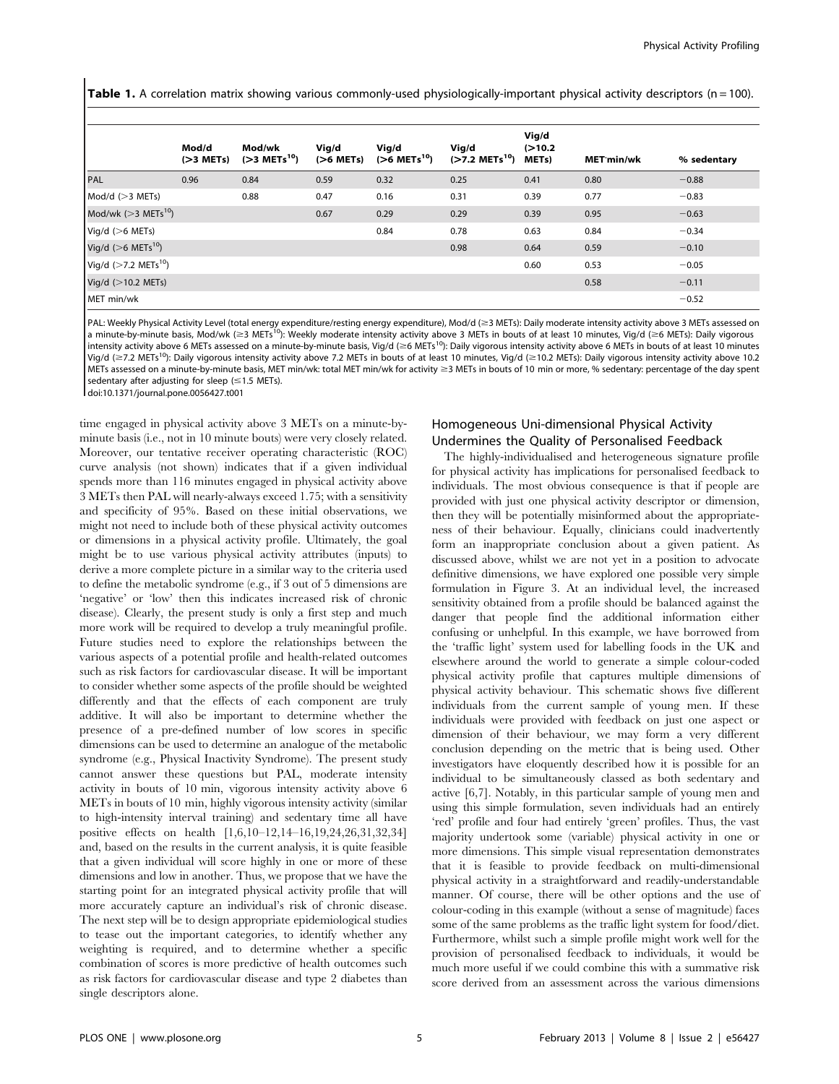**Table 1.** A correlation matrix showing various commonly-used physiologically-important physical activity descriptors ( $n = 100$ ).

|                                     | Mod/d<br>$($ >3 METs) | Mod/wk<br>$($ >3 METs <sup>10</sup> ) | Vig/d<br>$($ >6 METs $)$ | Vig/d<br>$(>6$ METs <sup>10</sup> ) | Vig/d<br>$($ >7.2 METs <sup>10</sup> ) | Vig/d<br>( > 10.2)<br>MET <sub>s</sub> ) | <b>MET</b> min/wk | % sedentary |
|-------------------------------------|-----------------------|---------------------------------------|--------------------------|-------------------------------------|----------------------------------------|------------------------------------------|-------------------|-------------|
| PAL                                 | 0.96                  | 0.84                                  | 0.59                     | 0.32                                | 0.25                                   | 0.41                                     | 0.80              | $-0.88$     |
| $Mod/d$ ( $>3$ METs)                |                       | 0.88                                  | 0.47                     | 0.16                                | 0.31                                   | 0.39                                     | 0.77              | $-0.83$     |
| Mod/wk $(>3$ METs <sup>10</sup> )   |                       |                                       | 0.67                     | 0.29                                | 0.29                                   | 0.39                                     | 0.95              | $-0.63$     |
| Vig/d $(>6$ METs)                   |                       |                                       |                          | 0.84                                | 0.78                                   | 0.63                                     | 0.84              | $-0.34$     |
| Vig/d ( $>6$ METs <sup>10</sup> )   |                       |                                       |                          |                                     | 0.98                                   | 0.64                                     | 0.59              | $-0.10$     |
| Vig/d ( $>7.2$ METs <sup>10</sup> ) |                       |                                       |                          |                                     |                                        | 0.60                                     | 0.53              | $-0.05$     |
| Vig/d $(>10.2$ METs)                |                       |                                       |                          |                                     |                                        |                                          | 0.58              | $-0.11$     |
| MET min/wk                          |                       |                                       |                          |                                     |                                        |                                          |                   | $-0.52$     |

PAL: Weekly Physical Activity Level (total energy expenditure/resting energy expenditure), Mod/d (≥3 METs): Daily moderate intensity activity above 3 METs assessed on a minute-by-minute basis, Mod/wk (≥3 METs<sup>10</sup>): Weekly moderate intensity activity above 3 METs in bouts of at least 10 minutes, Vig/d (≥6 METs): Daily vigorous intensity activity above 6 METs assessed on a minute-by-minute basis, Vig/d ( $\geq$ 6 METs<sup>10</sup>): Daily vigorous intensity activity above 6 METs in bouts of at least 10 minutes Vig/d ( $\geq$ 7.2 METs<sup>10</sup>): Daily vigorous intensity activity above 7.2 METs in bouts of at least 10 minutes, Vig/d ( $\geq$ 10.2 METs): Daily vigorous intensity activity above 10.2 METs assessed on a minute-by-minute basis, MET min/wk: total MET min/wk for activity  $\geq 3$  METs in bouts of 10 min or more, % sedentary: percentage of the day spent sedentary after adjusting for sleep  $(\leq 1.5$  METs).

doi:10.1371/journal.pone.0056427.t001

time engaged in physical activity above 3 METs on a minute-byminute basis (i.e., not in 10 minute bouts) were very closely related. Moreover, our tentative receiver operating characteristic (ROC) curve analysis (not shown) indicates that if a given individual spends more than 116 minutes engaged in physical activity above 3 METs then PAL will nearly-always exceed 1.75; with a sensitivity and specificity of 95%. Based on these initial observations, we might not need to include both of these physical activity outcomes or dimensions in a physical activity profile. Ultimately, the goal might be to use various physical activity attributes (inputs) to derive a more complete picture in a similar way to the criteria used to define the metabolic syndrome (e.g., if 3 out of 5 dimensions are 'negative' or 'low' then this indicates increased risk of chronic disease). Clearly, the present study is only a first step and much more work will be required to develop a truly meaningful profile. Future studies need to explore the relationships between the various aspects of a potential profile and health-related outcomes such as risk factors for cardiovascular disease. It will be important to consider whether some aspects of the profile should be weighted differently and that the effects of each component are truly additive. It will also be important to determine whether the presence of a pre-defined number of low scores in specific dimensions can be used to determine an analogue of the metabolic syndrome (e.g., Physical Inactivity Syndrome). The present study cannot answer these questions but PAL, moderate intensity activity in bouts of 10 min, vigorous intensity activity above 6 METs in bouts of 10 min, highly vigorous intensity activity (similar to high-intensity interval training) and sedentary time all have positive effects on health [1,6,10–12,14–16,19,24,26,31,32,34] and, based on the results in the current analysis, it is quite feasible that a given individual will score highly in one or more of these dimensions and low in another. Thus, we propose that we have the starting point for an integrated physical activity profile that will more accurately capture an individual's risk of chronic disease. The next step will be to design appropriate epidemiological studies to tease out the important categories, to identify whether any weighting is required, and to determine whether a specific combination of scores is more predictive of health outcomes such as risk factors for cardiovascular disease and type 2 diabetes than single descriptors alone.

## Homogeneous Uni-dimensional Physical Activity Undermines the Quality of Personalised Feedback

The highly-individualised and heterogeneous signature profile for physical activity has implications for personalised feedback to individuals. The most obvious consequence is that if people are provided with just one physical activity descriptor or dimension, then they will be potentially misinformed about the appropriateness of their behaviour. Equally, clinicians could inadvertently form an inappropriate conclusion about a given patient. As discussed above, whilst we are not yet in a position to advocate definitive dimensions, we have explored one possible very simple formulation in Figure 3. At an individual level, the increased sensitivity obtained from a profile should be balanced against the danger that people find the additional information either confusing or unhelpful. In this example, we have borrowed from the 'traffic light' system used for labelling foods in the UK and elsewhere around the world to generate a simple colour-coded physical activity profile that captures multiple dimensions of physical activity behaviour. This schematic shows five different individuals from the current sample of young men. If these individuals were provided with feedback on just one aspect or dimension of their behaviour, we may form a very different conclusion depending on the metric that is being used. Other investigators have eloquently described how it is possible for an individual to be simultaneously classed as both sedentary and active [6,7]. Notably, in this particular sample of young men and using this simple formulation, seven individuals had an entirely 'red' profile and four had entirely 'green' profiles. Thus, the vast majority undertook some (variable) physical activity in one or more dimensions. This simple visual representation demonstrates that it is feasible to provide feedback on multi-dimensional physical activity in a straightforward and readily-understandable manner. Of course, there will be other options and the use of colour-coding in this example (without a sense of magnitude) faces some of the same problems as the traffic light system for food/diet. Furthermore, whilst such a simple profile might work well for the provision of personalised feedback to individuals, it would be much more useful if we could combine this with a summative risk score derived from an assessment across the various dimensions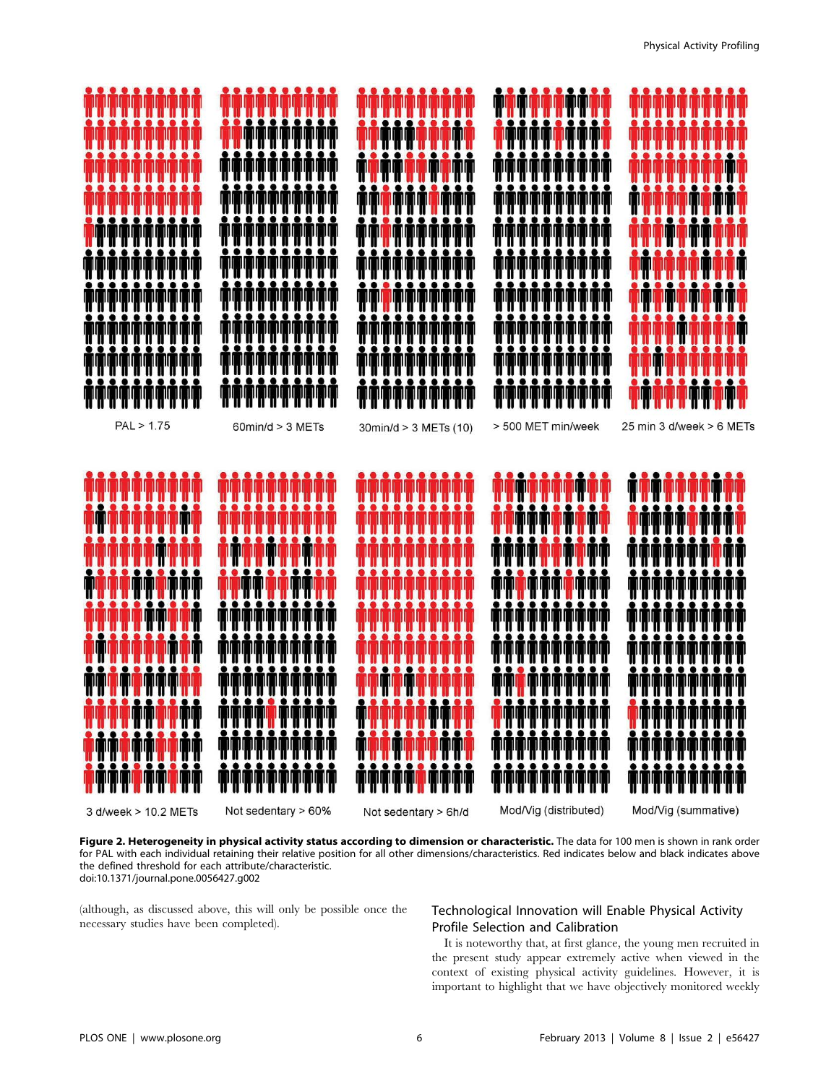

3 d/week > 10.2 METs

Not sedentary > 60%

Not sedentary > 6h/d

Mod/Vig (distributed)

Mod/Vig (summative)

Figure 2. Heterogeneity in physical activity status according to dimension or characteristic. The data for 100 men is shown in rank order for PAL with each individual retaining their relative position for all other dimensions/characteristics. Red indicates below and black indicates above the defined threshold for each attribute/characteristic. doi:10.1371/journal.pone.0056427.g002

(although, as discussed above, this will only be possible once the necessary studies have been completed).

## Technological Innovation will Enable Physical Activity Profile Selection and Calibration

It is noteworthy that, at first glance, the young men recruited in the present study appear extremely active when viewed in the context of existing physical activity guidelines. However, it is important to highlight that we have objectively monitored weekly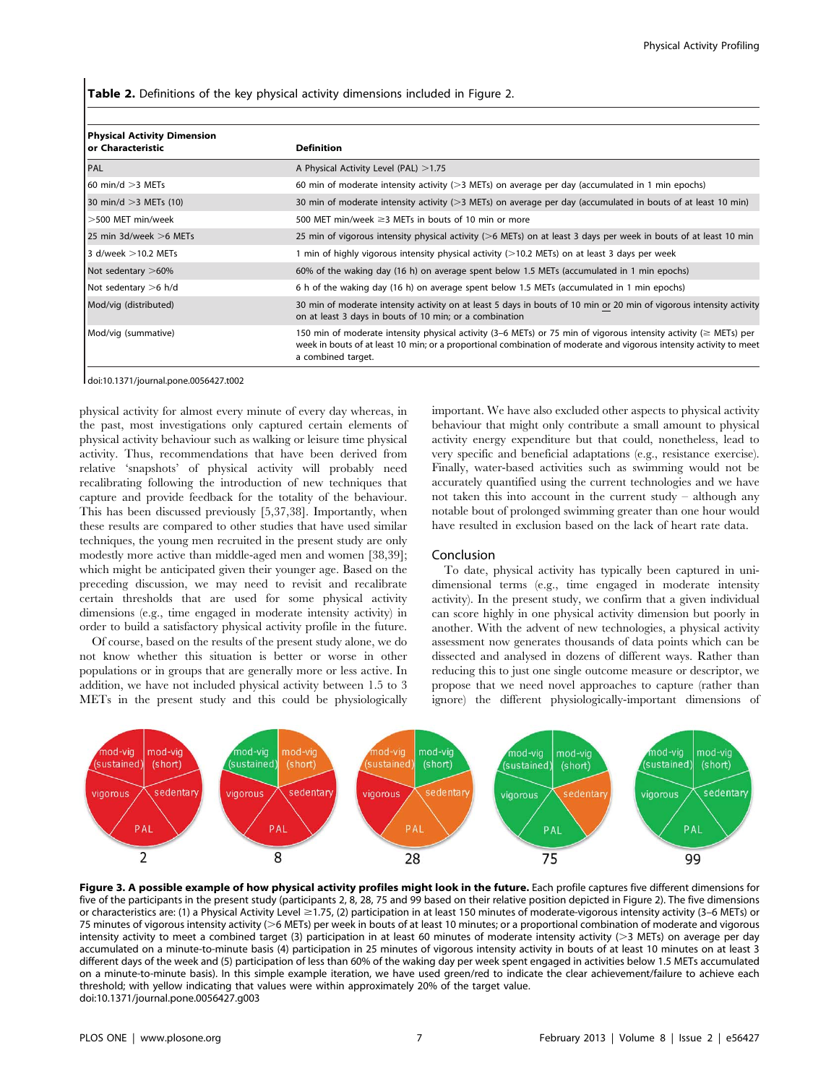**Table 2.** Definitions of the key physical activity dimensions included in Figure 2.

| <b>Definition</b>                                                                                                                                                                                                                                                   |
|---------------------------------------------------------------------------------------------------------------------------------------------------------------------------------------------------------------------------------------------------------------------|
| A Physical Activity Level (PAL) >1.75                                                                                                                                                                                                                               |
| 60 min of moderate intensity activity ( $>3$ METs) on average per day (accumulated in 1 min epochs)                                                                                                                                                                 |
| 30 min of moderate intensity activity ( $>$ 3 METs) on average per day (accumulated in bouts of at least 10 min)                                                                                                                                                    |
| 500 MET min/week $\geq$ 3 METs in bouts of 10 min or more                                                                                                                                                                                                           |
| 25 min of vigorous intensity physical activity (>6 METs) on at least 3 days per week in bouts of at least 10 min                                                                                                                                                    |
| 1 min of highly vigorous intensity physical activity (>10.2 METs) on at least 3 days per week                                                                                                                                                                       |
| 60% of the waking day (16 h) on average spent below 1.5 METs (accumulated in 1 min epochs)                                                                                                                                                                          |
| 6 h of the waking day (16 h) on average spent below 1.5 METs (accumulated in 1 min epochs)                                                                                                                                                                          |
| 30 min of moderate intensity activity on at least 5 days in bouts of 10 min or 20 min of vigorous intensity activity<br>on at least 3 days in bouts of 10 min; or a combination                                                                                     |
| 150 min of moderate intensity physical activity (3–6 METs) or 75 min of vigorous intensity activity ( $\geq$ METs) per<br>week in bouts of at least 10 min; or a proportional combination of moderate and vigorous intensity activity to meet<br>a combined target. |
|                                                                                                                                                                                                                                                                     |

doi:10.1371/journal.pone.0056427.t002

physical activity for almost every minute of every day whereas, in the past, most investigations only captured certain elements of physical activity behaviour such as walking or leisure time physical activity. Thus, recommendations that have been derived from relative 'snapshots' of physical activity will probably need recalibrating following the introduction of new techniques that capture and provide feedback for the totality of the behaviour. This has been discussed previously [5,37,38]. Importantly, when these results are compared to other studies that have used similar techniques, the young men recruited in the present study are only modestly more active than middle-aged men and women [38,39]; which might be anticipated given their younger age. Based on the preceding discussion, we may need to revisit and recalibrate certain thresholds that are used for some physical activity dimensions (e.g., time engaged in moderate intensity activity) in order to build a satisfactory physical activity profile in the future.

Of course, based on the results of the present study alone, we do not know whether this situation is better or worse in other populations or in groups that are generally more or less active. In addition, we have not included physical activity between 1.5 to 3 METs in the present study and this could be physiologically important. We have also excluded other aspects to physical activity behaviour that might only contribute a small amount to physical activity energy expenditure but that could, nonetheless, lead to very specific and beneficial adaptations (e.g., resistance exercise). Finally, water-based activities such as swimming would not be accurately quantified using the current technologies and we have not taken this into account in the current study – although any notable bout of prolonged swimming greater than one hour would have resulted in exclusion based on the lack of heart rate data.

#### Conclusion

To date, physical activity has typically been captured in unidimensional terms (e.g., time engaged in moderate intensity activity). In the present study, we confirm that a given individual can score highly in one physical activity dimension but poorly in another. With the advent of new technologies, a physical activity assessment now generates thousands of data points which can be dissected and analysed in dozens of different ways. Rather than reducing this to just one single outcome measure or descriptor, we propose that we need novel approaches to capture (rather than ignore) the different physiologically-important dimensions of



Figure 3. A possible example of how physical activity profiles might look in the future. Each profile captures five different dimensions for five of the participants in the present study (participants 2, 8, 28, 75 and 99 based on their relative position depicted in Figure 2). The five dimensions or characteristics are: (1) a Physical Activity Level ≥1.75, (2) participation in at least 150 minutes of moderate-vigorous intensity activity (3–6 METs) or 75 minutes of vigorous intensity activity (>6 METs) per week in bouts of at least 10 minutes; or a proportional combination of moderate and vigorous intensity activity to meet a combined target (3) participation in at least 60 minutes of moderate intensity activity ( $>$ 3 METs) on average per day accumulated on a minute-to-minute basis (4) participation in 25 minutes of vigorous intensity activity in bouts of at least 10 minutes on at least 3 different days of the week and (5) participation of less than 60% of the waking day per week spent engaged in activities below 1.5 METs accumulated on a minute-to-minute basis). In this simple example iteration, we have used green/red to indicate the clear achievement/failure to achieve each threshold; with yellow indicating that values were within approximately 20% of the target value. doi:10.1371/journal.pone.0056427.g003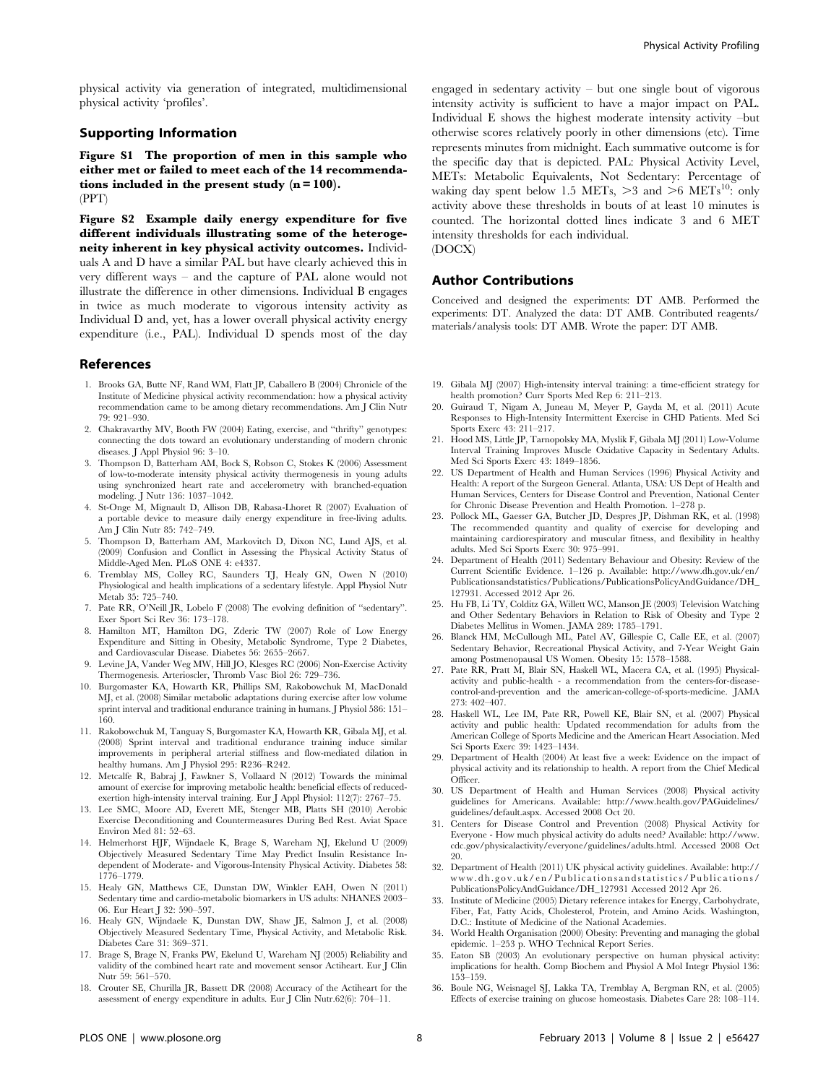physical activity via generation of integrated, multidimensional physical activity 'profiles'.

#### Supporting Information

Figure S1 The proportion of men in this sample who either met or failed to meet each of the 14 recommendations included in the present study  $(n = 100)$ . (PPT)

Figure S2 Example daily energy expenditure for five different individuals illustrating some of the heterogeneity inherent in key physical activity outcomes. Individuals A and D have a similar PAL but have clearly achieved this in very different ways – and the capture of PAL alone would not illustrate the difference in other dimensions. Individual B engages in twice as much moderate to vigorous intensity activity as Individual D and, yet, has a lower overall physical activity energy expenditure (i.e., PAL). Individual D spends most of the day

#### References

- 1. Brooks GA, Butte NF, Rand WM, Flatt JP, Caballero B (2004) Chronicle of the Institute of Medicine physical activity recommendation: how a physical activity recommendation came to be among dietary recommendations. Am J Clin Nutr 79: 921–930.
- 2. Chakravarthy MV, Booth FW (2004) Eating, exercise, and ''thrifty'' genotypes: connecting the dots toward an evolutionary understanding of modern chronic diseases. J Appl Physiol 96: 3–10.
- 3. Thompson D, Batterham AM, Bock S, Robson C, Stokes K (2006) Assessment of low-to-moderate intensity physical activity thermogenesis in young adults using synchronized heart rate and accelerometry with branched-equation modeling. J Nutr 136: 1037–1042.
- 4. St-Onge M, Mignault D, Allison DB, Rabasa-Lhoret R (2007) Evaluation of a portable device to measure daily energy expenditure in free-living adults. Am J Clin Nutr 85: 742–749.
- 5. Thompson D, Batterham AM, Markovitch D, Dixon NC, Lund AJS, et al. (2009) Confusion and Conflict in Assessing the Physical Activity Status of Middle-Aged Men. PLoS ONE 4: e4337.
- 6. Tremblay MS, Colley RC, Saunders TJ, Healy GN, Owen N (2010) Physiological and health implications of a sedentary lifestyle. Appl Physiol Nutr Metab 35: 725–740.
- 7. Pate RR, O'Neill JR, Lobelo F (2008) The evolving definition of ''sedentary''. Exer Sport Sci Rev 36: 173–178.
- 8. Hamilton MT, Hamilton DG, Zderic TW (2007) Role of Low Energy Expenditure and Sitting in Obesity, Metabolic Syndrome, Type 2 Diabetes, and Cardiovascular Disease. Diabetes 56: 2655–2667.
- 9. Levine JA, Vander Weg MW, Hill JO, Klesges RC (2006) Non-Exercise Activity Thermogenesis. Arterioscler, Thromb Vasc Biol 26: 729–736.
- 10. Burgomaster KA, Howarth KR, Phillips SM, Rakobowchuk M, MacDonald MJ, et al. (2008) Similar metabolic adaptations during exercise after low volume sprint interval and traditional endurance training in humans. J Physiol 586: 151– 160.
- 11. Rakobowchuk M, Tanguay S, Burgomaster KA, Howarth KR, Gibala MJ, et al. (2008) Sprint interval and traditional endurance training induce similar improvements in peripheral arterial stiffness and flow-mediated dilation in healthy humans. Am J Physiol 295: R236–R242.
- 12. Metcalfe R, Babraj J, Fawkner S, Vollaard N (2012) Towards the minimal amount of exercise for improving metabolic health: beneficial effects of reducedexertion high-intensity interval training. Eur J Appl Physiol: 112(7): 2767–75.
- 13. Lee SMC, Moore AD, Everett ME, Stenger MB, Platts SH (2010) Aerobic Exercise Deconditioning and Countermeasures During Bed Rest. Aviat Space Environ Med 81: 52–63.
- 14. Helmerhorst HJF, Wijndaele K, Brage S, Wareham NJ, Ekelund U (2009) Objectively Measured Sedentary Time May Predict Insulin Resistance Independent of Moderate- and Vigorous-Intensity Physical Activity. Diabetes 58: 1776–1779.
- 15. Healy GN, Matthews CE, Dunstan DW, Winkler EAH, Owen N (2011) Sedentary time and cardio-metabolic biomarkers in US adults: NHANES 2003– 06. Eur Heart J 32: 590–597.
- 16. Healy GN, Wijndaele K, Dunstan DW, Shaw JE, Salmon J, et al. (2008) Objectively Measured Sedentary Time, Physical Activity, and Metabolic Risk. Diabetes Care 31: 369–371.
- 17. Brage S, Brage N, Franks PW, Ekelund U, Wareham NJ (2005) Reliability and validity of the combined heart rate and movement sensor Actiheart. Eur J Clin Nutr 59: 561–570.
- 18. Crouter SE, Churilla JR, Bassett DR (2008) Accuracy of the Actiheart for the assessment of energy expenditure in adults. Eur J Clin Nutr.62(6): 704–11.

engaged in sedentary activity – but one single bout of vigorous intensity activity is sufficient to have a major impact on PAL. Individual E shows the highest moderate intensity activity –but otherwise scores relatively poorly in other dimensions (etc). Time represents minutes from midnight. Each summative outcome is for the specific day that is depicted. PAL: Physical Activity Level, METs: Metabolic Equivalents, Not Sedentary: Percentage of waking day spent below 1.5 METs,  $>3$  and  $>6$  METs<sup>10</sup>: only activity above these thresholds in bouts of at least 10 minutes is counted. The horizontal dotted lines indicate 3 and 6 MET intensity thresholds for each individual. (DOCX)

#### Author Contributions

Conceived and designed the experiments: DT AMB. Performed the experiments: DT. Analyzed the data: DT AMB. Contributed reagents/ materials/analysis tools: DT AMB. Wrote the paper: DT AMB.

- 19. Gibala MJ (2007) High-intensity interval training: a time-efficient strategy for health promotion? Curr Sports Med Rep 6: 211–213.
- 20. Guiraud T, Nigam A, Juneau M, Meyer P, Gayda M, et al. (2011) Acute Responses to High-Intensity Intermittent Exercise in CHD Patients. Med Sci Sports Exerc 43: 211–217.
- 21. Hood MS, Little JP, Tarnopolsky MA, Myslik F, Gibala MJ (2011) Low-Volume Interval Training Improves Muscle Oxidative Capacity in Sedentary Adults. Med Sci Sports Exerc 43: 1849–1856.
- 22. US Department of Health and Human Services (1996) Physical Activity and Health: A report of the Surgeon General. Atlanta, USA: US Dept of Health and Human Services, Centers for Disease Control and Prevention, National Center for Chronic Disease Prevention and Health Promotion. 1–278 p.
- 23. Pollock ML, Gaesser GA, Butcher JD, Despres JP, Dishman RK, et al. (1998) The recommended quantity and quality of exercise for developing and maintaining cardiorespiratory and muscular fitness, and flexibility in healthy adults. Med Sci Sports Exerc 30: 975–991.
- 24. Department of Health (2011) Sedentary Behaviour and Obesity: Review of the Current Scientific Evidence. 1–126 p. Available: http://www.dh.gov.uk/en/ Publicationsandstatistics/Publications/PublicationsPolicyAndGuidance/DH\_ 127931. Accessed 2012 Apr 26.
- 25. Hu FB, Li TY, Colditz GA, Willett WC, Manson JE (2003) Television Watching and Other Sedentary Behaviors in Relation to Risk of Obesity and Type 2 Diabetes Mellitus in Women. JAMA 289: 1785–1791.
- 26. Blanck HM, McCullough ML, Patel AV, Gillespie C, Calle EE, et al. (2007) Sedentary Behavior, Recreational Physical Activity, and 7-Year Weight Gain among Postmenopausal US Women. Obesity 15: 1578–1588.
- 27. Pate RR, Pratt M, Blair SN, Haskell WL, Macera CA, et al. (1995) Physicalactivity and public-health - a recommendation from the centers-for-diseasecontrol-and-prevention and the american-college-of-sports-medicine. JAMA 273: 402–407.
- 28. Haskell WL, Lee IM, Pate RR, Powell KE, Blair SN, et al. (2007) Physical activity and public health: Updated recommendation for adults from the American College of Sports Medicine and the American Heart Association. Med Sci Sports Exerc 39: 1423–1434.
- 29. Department of Health (2004) At least five a week: Evidence on the impact of physical activity and its relationship to health. A report from the Chief Medical Officer.
- 30. US Department of Health and Human Services (2008) Physical activity guidelines for Americans. Available: http://www.health.gov/PAGuidelines/ guidelines/default.aspx. Accessed 2008 Oct 20.
- 31. Centers for Disease Control and Prevention (2008) Physical Activity for Everyone - How much physical activity do adults need? Available: http://www. cdc.gov/physicalactivity/everyone/guidelines/adults.html. Accessed 2008 Oct 20.
- 32. Department of Health (2011) UK physical activity guidelines. Available: http:// www.dh.gov.uk/en/Publications andstatistics/Publications/ PublicationsPolicyAndGuidance/DH\_127931 Accessed 2012 Apr 26.
- 33. Institute of Medicine (2005) Dietary reference intakes for Energy, Carbohydrate, Fiber, Fat, Fatty Acids, Cholesterol, Protein, and Amino Acids. Washington, D.C.: Institute of Medicine of the National Academies.
- 34. World Health Organisation (2000) Obesity: Preventing and managing the global epidemic. 1–253 p. WHO Technical Report Series.
- 35. Eaton SB (2003) An evolutionary perspective on human physical activity: implications for health. Comp Biochem and Physiol A Mol Integr Physiol 136: 153–159.
- 36. Boule NG, Weisnagel SJ, Lakka TA, Tremblay A, Bergman RN, et al. (2005) Effects of exercise training on glucose homeostasis. Diabetes Care 28: 108–114.